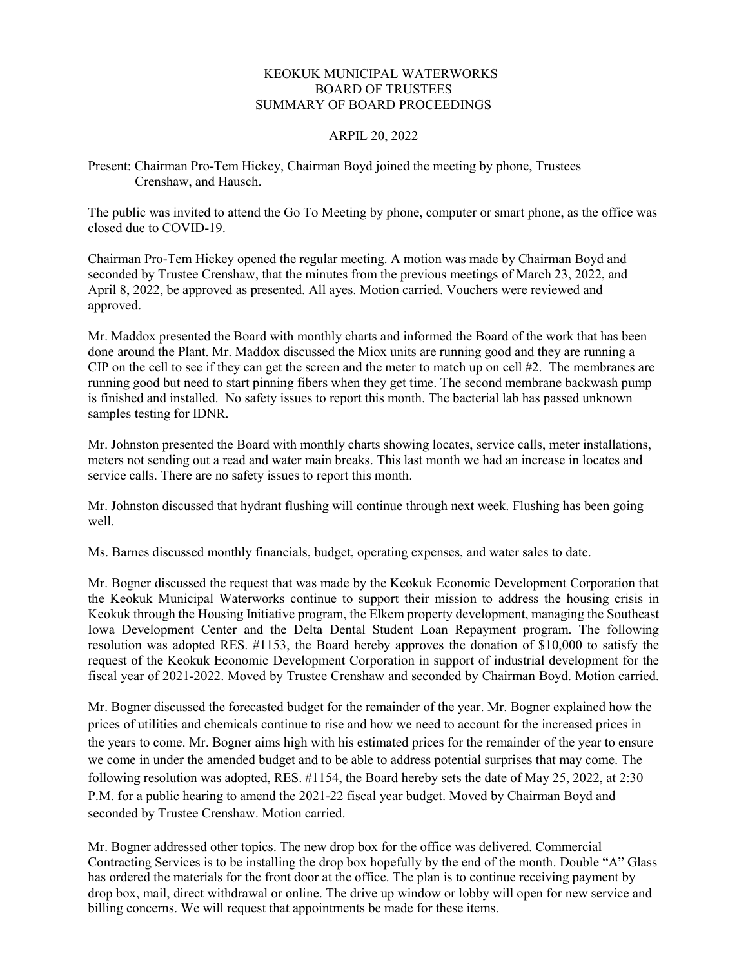## KEOKUK MUNICIPAL WATERWORKS BOARD OF TRUSTEES SUMMARY OF BOARD PROCEEDINGS

## ARPIL 20, 2022

Present: Chairman Pro-Tem Hickey, Chairman Boyd joined the meeting by phone, Trustees Crenshaw, and Hausch.

The public was invited to attend the Go To Meeting by phone, computer or smart phone, as the office was closed due to COVID-19.

Chairman Pro-Tem Hickey opened the regular meeting. A motion was made by Chairman Boyd and seconded by Trustee Crenshaw, that the minutes from the previous meetings of March 23, 2022, and April 8, 2022, be approved as presented. All ayes. Motion carried. Vouchers were reviewed and approved.

Mr. Maddox presented the Board with monthly charts and informed the Board of the work that has been done around the Plant. Mr. Maddox discussed the Miox units are running good and they are running a CIP on the cell to see if they can get the screen and the meter to match up on cell #2. The membranes are running good but need to start pinning fibers when they get time. The second membrane backwash pump is finished and installed. No safety issues to report this month. The bacterial lab has passed unknown samples testing for IDNR.

Mr. Johnston presented the Board with monthly charts showing locates, service calls, meter installations, meters not sending out a read and water main breaks. This last month we had an increase in locates and service calls. There are no safety issues to report this month.

Mr. Johnston discussed that hydrant flushing will continue through next week. Flushing has been going well.

Ms. Barnes discussed monthly financials, budget, operating expenses, and water sales to date.

Mr. Bogner discussed the request that was made by the Keokuk Economic Development Corporation that the Keokuk Municipal Waterworks continue to support their mission to address the housing crisis in Keokuk through the Housing Initiative program, the Elkem property development, managing the Southeast Iowa Development Center and the Delta Dental Student Loan Repayment program. The following resolution was adopted RES. #1153, the Board hereby approves the donation of \$10,000 to satisfy the request of the Keokuk Economic Development Corporation in support of industrial development for the fiscal year of 2021-2022. Moved by Trustee Crenshaw and seconded by Chairman Boyd. Motion carried.

Mr. Bogner discussed the forecasted budget for the remainder of the year. Mr. Bogner explained how the prices of utilities and chemicals continue to rise and how we need to account for the increased prices in the years to come. Mr. Bogner aims high with his estimated prices for the remainder of the year to ensure we come in under the amended budget and to be able to address potential surprises that may come. The following resolution was adopted, RES. #1154, the Board hereby sets the date of May 25, 2022, at 2:30 P.M. for a public hearing to amend the 2021-22 fiscal year budget. Moved by Chairman Boyd and seconded by Trustee Crenshaw. Motion carried.

Mr. Bogner addressed other topics. The new drop box for the office was delivered. Commercial Contracting Services is to be installing the drop box hopefully by the end of the month. Double "A" Glass has ordered the materials for the front door at the office. The plan is to continue receiving payment by drop box, mail, direct withdrawal or online. The drive up window or lobby will open for new service and billing concerns. We will request that appointments be made for these items.